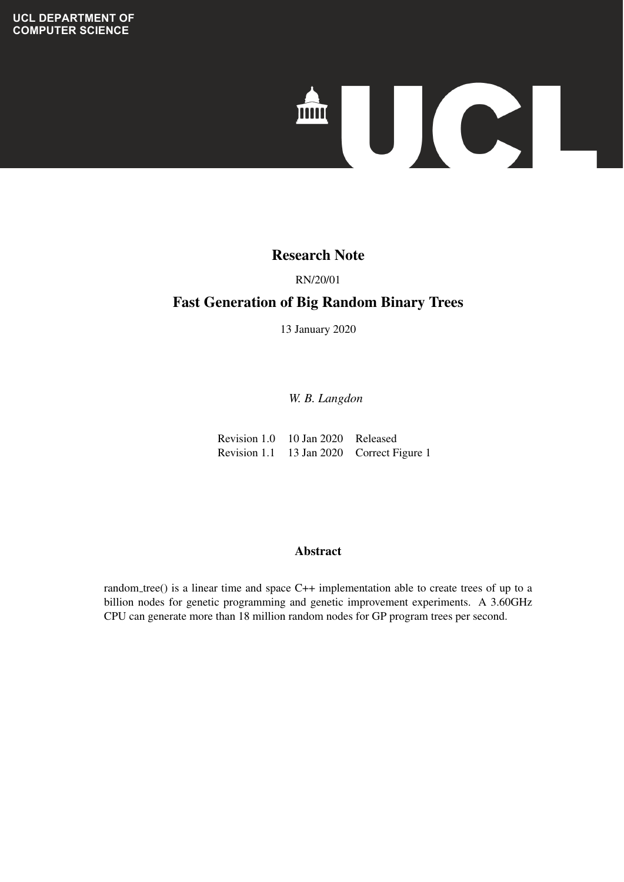# 

## **Evolving Expectral Species Species Species Species Species Species Species Species Species Species Species Species Species Species Species Species Species Species Species Species Species Species Species Species Species Sp**

# **Techniques** RN/20/01

### Fast Generation of Big Random Binary Trees

13 January 2020

*W. B. Langdon*

Revision 1.0 10 Jan 2020 Released Revision 1.1 13 Jan 2020 Correct Figure 1

### ranking statements according to the predicted risk evaluation for  $\mathcal{A}$  between  $\mathcal{A}$  risk evaluation for  $\mathcal{A}$ Abstract

random tree() is a linear time and space C++ implementation able to create trees of up to a billion nodes for genetic programming and genetic improvement experiments. A 3.60GHz CPU can generate more than 18 million random nodes for GP program trees per second.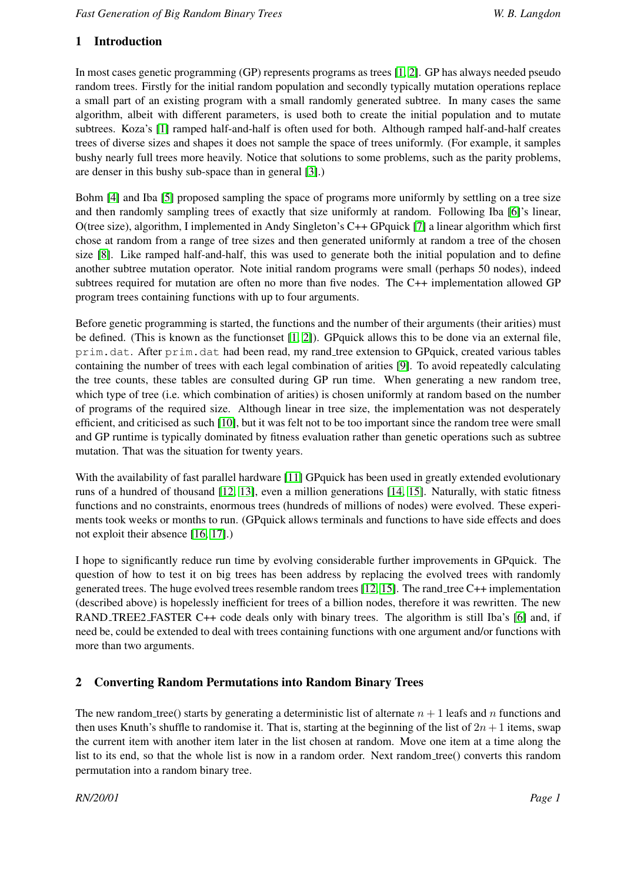### 1 Introduction

In most cases genetic programming (GP) represents programs as trees [\[1,](#page-4-0) [2\]](#page-4-1). GP has always needed pseudo random trees. Firstly for the initial random population and secondly typically mutation operations replace a small part of an existing program with a small randomly generated subtree. In many cases the same algorithm, albeit with different parameters, is used both to create the initial population and to mutate subtrees. Koza's [\[1\]](#page-4-0) ramped half-and-half is often used for both. Although ramped half-and-half creates trees of diverse sizes and shapes it does not sample the space of trees uniformly. (For example, it samples bushy nearly full trees more heavily. Notice that solutions to some problems, such as the parity problems, are denser in this bushy sub-space than in general [\[3\]](#page-4-2).)

Bohm [\[4\]](#page-4-3) and Iba [\[5\]](#page-4-4) proposed sampling the space of programs more uniformly by settling on a tree size and then randomly sampling trees of exactly that size uniformly at random. Following Iba [\[6\]](#page-4-5)'s linear, O(tree size), algorithm, I implemented in Andy Singleton's C++ GPquick [\[7\]](#page-4-6) a linear algorithm which first chose at random from a range of tree sizes and then generated uniformly at random a tree of the chosen size [\[8\]](#page-4-7). Like ramped half-and-half, this was used to generate both the initial population and to define another subtree mutation operator. Note initial random programs were small (perhaps 50 nodes), indeed subtrees required for mutation are often no more than five nodes. The C++ implementation allowed GP program trees containing functions with up to four arguments.

Before genetic programming is started, the functions and the number of their arguments (their arities) must be defined. (This is known as the functionset [\[1,](#page-4-0) [2\]](#page-4-1)). GPquick allows this to be done via an external file, prim.dat. After prim.dat had been read, my rand tree extension to GPquick, created various tables containing the number of trees with each legal combination of arities [\[9\]](#page-4-8). To avoid repeatedly calculating the tree counts, these tables are consulted during GP run time. When generating a new random tree, which type of tree (i.e. which combination of arities) is chosen uniformly at random based on the number of programs of the required size. Although linear in tree size, the implementation was not desperately efficient, and criticised as such [\[10\]](#page-4-9), but it was felt not to be too important since the random tree were small and GP runtime is typically dominated by fitness evaluation rather than genetic operations such as subtree mutation. That was the situation for twenty years.

With the availability of fast parallel hardware [\[11\]](#page-5-0) GPquick has been used in greatly extended evolutionary runs of a hundred of thousand [\[12,](#page-5-1) [13\]](#page-5-2), even a million generations [\[14,](#page-5-3) [15\]](#page-5-4). Naturally, with static fitness functions and no constraints, enormous trees (hundreds of millions of nodes) were evolved. These experiments took weeks or months to run. (GPquick allows terminals and functions to have side effects and does not exploit their absence [\[16,](#page-5-5) [17\]](#page-5-6).)

I hope to significantly reduce run time by evolving considerable further improvements in GPquick. The question of how to test it on big trees has been address by replacing the evolved trees with randomly generated trees. The huge evolved trees resemble random trees [\[12,](#page-5-1) [15\]](#page-5-4). The rand tree C++ implementation (described above) is hopelessly inefficient for trees of a billion nodes, therefore it was rewritten. The new RAND TREE2 FASTER C++ code deals only with binary trees. The algorithm is still Iba's [\[6\]](#page-4-5) and, if need be, could be extended to deal with trees containing functions with one argument and/or functions with more than two arguments.

### 2 Converting Random Permutations into Random Binary Trees

The new random tree() starts by generating a deterministic list of alternate  $n + 1$  leafs and n functions and then uses Knuth's shuffle to randomise it. That is, starting at the beginning of the list of  $2n+1$  items, swap the current item with another item later in the list chosen at random. Move one item at a time along the list to its end, so that the whole list is now in a random order. Next random tree() converts this random permutation into a random binary tree.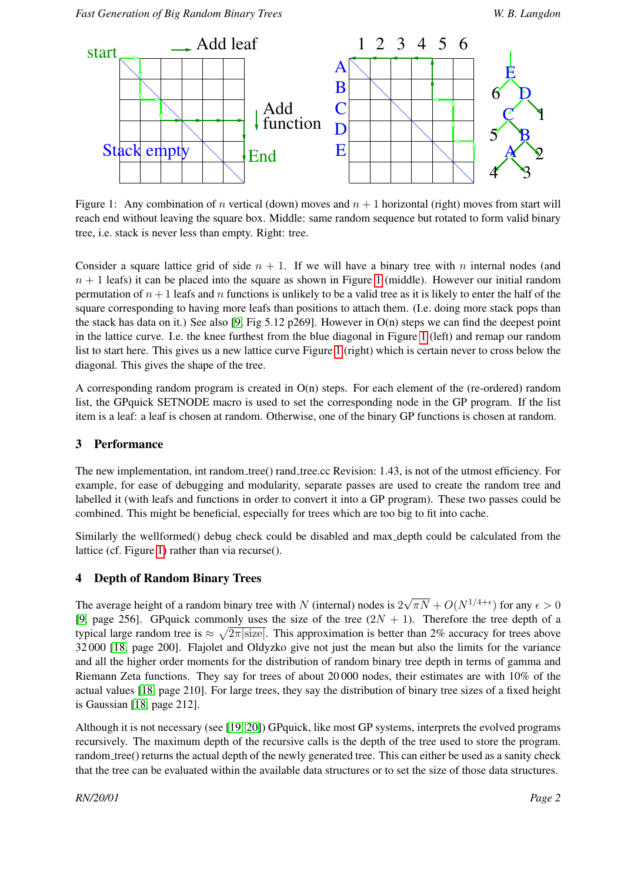

<span id="page-2-0"></span>Figure 1: Any combination of n vertical (down) moves and  $n + 1$  horizontal (right) moves from start will reach end without leaving the square box. Middle: same random sequence but rotated to form valid binary tree, i.e. stack is never less than empty. Right: tree.

Consider a square lattice grid of side  $n + 1$ . If we will have a binary tree with n internal nodes (and  $n + 1$  $n + 1$  leafs) it can be placed into the square as shown in Figure 1 (middle). However our initial random permutation of  $n + 1$  leafs and n functions is unlikely to be a valid tree as it is likely to enter the half of the square corresponding to having more leafs than positions to attach them. (I.e. doing more stack pops than the stack has data on it.) See also [\[9,](#page-4-8) Fig 5.12 p269]. However in O(n) steps we can find the deepest point in the lattice curve. I.e. the knee furthest from the blue diagonal in Figure [1](#page-2-0) (left) and remap our random list to start here. This gives us a new lattice curve Figure [1](#page-2-0) (right) which is certain never to cross below the diagonal. This gives the shape of the tree.

A corresponding random program is created in  $O(n)$  steps. For each element of the (re-ordered) random list, the GPquick SETNODE macro is used to set the corresponding node in the GP program. If the list item is a leaf: a leaf is chosen at random. Otherwise, one of the binary GP functions is chosen at random.

### 3 Performance

The new implementation, int random tree() rand tree.cc Revision: 1.43, is not of the utmost efficiency. For example, for ease of debugging and modularity, separate passes are used to create the random tree and labelled it (with leafs and functions in order to convert it into a GP program). These two passes could be combined. This might be beneficial, especially for trees which are too big to fit into cache.

Similarly the wellformed() debug check could be disabled and max depth could be calculated from the lattice (cf. Figure [1\)](#page-2-0) rather than via recurse().

### 4 Depth of Random Binary Trees

The average height of a random binary tree with  $N$  (internal) nodes is 2  $\sqrt{\pi N} + O(N^{1/4+\epsilon})$  for any  $\epsilon > 0$ [\[9,](#page-4-8) page 256]. GPquick commonly uses the size of the tree  $(2N + 1)$ . Therefore the tree depth of a typical large random tree is  $\approx \sqrt{2\pi|\text{size}|}$ . This approximation is better than 2% accuracy for trees above 32 000 [\[18,](#page-5-7) page 200]. Flajolet and Oldyzko give not just the mean but also the limits for the variance and all the higher order moments for the distribution of random binary tree depth in terms of gamma and Riemann Zeta functions. They say for trees of about 20 000 nodes, their estimates are with 10% of the actual values [\[18,](#page-5-7) page 210]. For large trees, they say the distribution of binary tree sizes of a fixed height is Gaussian [\[18,](#page-5-7) page 212].

Although it is not necessary (see [\[19,](#page-5-8) [20\]](#page-5-9)) GPquick, like most GP systems, interprets the evolved programs recursively. The maximum depth of the recursive calls is the depth of the tree used to store the program. random tree() returns the actual depth of the newly generated tree. This can either be used as a sanity check that the tree can be evaluated within the available data structures or to set the size of those data structures.

*RN/20/01 Page 2*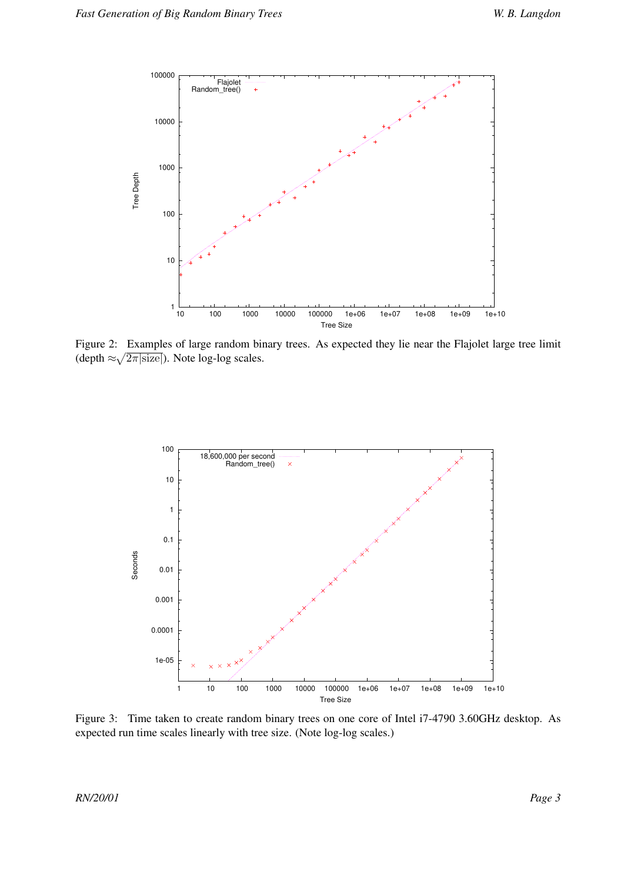

Figure 2: Examples of large random binary trees. As expected they lie near the Flajolet large tree limit (depth  $\approx \sqrt{2\pi |\text{size}|}$ ). Note log-log scales.



Figure 3: Time taken to create random binary trees on one core of Intel i7-4790 3.60GHz desktop. As expected run time scales linearly with tree size. (Note log-log scales.)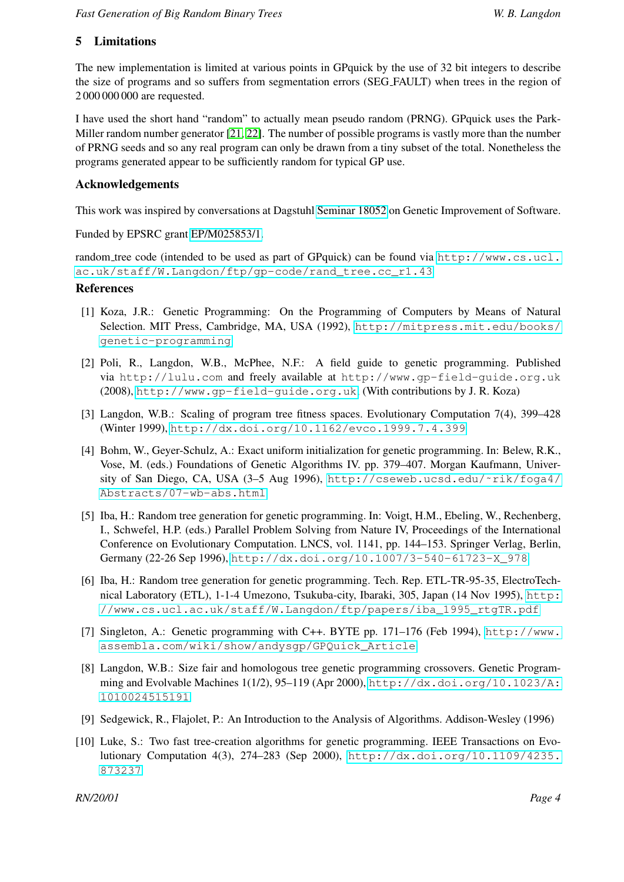### 5 Limitations

The new implementation is limited at various points in GPquick by the use of 32 bit integers to describe the size of programs and so suffers from segmentation errors (SEG FAULT) when trees in the region of 2 000 000 000 are requested.

I have used the short hand "random" to actually mean pseudo random (PRNG). GPquick uses the Park-Miller random number generator [\[21,](#page-5-10) [22\]](#page-5-11). The number of possible programs is vastly more than the number of PRNG seeds and so any real program can only be drawn from a tiny subset of the total. Nonetheless the programs generated appear to be sufficiently random for typical GP use.

### Acknowledgements

This work was inspired by conversations at Dagstuhl [Seminar 18052](https://www.dagstuhl.de/en/program/calendar/semhp/?semnr=18052) on Genetic Improvement of Software.

Funded by EPSRC grant [EP/M025853/1.](http://gow.epsrc.ukri.org/NGBOViewGrant.aspx?GrantRef=EP/M025853/1)

random tree code (intended to be used as part of GPquick) can be found via [http://www.cs.ucl.](http://www.cs.ucl.ac.uk/staff/W.Langdon/ftp/gp-code/rand_tree.cc_r1.43) [ac.uk/staff/W.Langdon/ftp/gp-code/rand\\_tree.cc\\_r1.43](http://www.cs.ucl.ac.uk/staff/W.Langdon/ftp/gp-code/rand_tree.cc_r1.43)

### References

- <span id="page-4-0"></span>[1] Koza, J.R.: Genetic Programming: On the Programming of Computers by Means of Natural Selection. MIT Press, Cambridge, MA, USA (1992), [http://mitpress.mit.edu/books/](http://mitpress.mit.edu/books/genetic-programming) [genetic-programming](http://mitpress.mit.edu/books/genetic-programming)
- <span id="page-4-1"></span>[2] Poli, R., Langdon, W.B., McPhee, N.F.: A field guide to genetic programming. Published via http://lulu.com and freely available at http://www.gp-field-guide.org.uk (2008), <http://www.gp-field-guide.org.uk>, (With contributions by J. R. Koza)
- <span id="page-4-2"></span>[3] Langdon, W.B.: Scaling of program tree fitness spaces. Evolutionary Computation 7(4), 399–428 (Winter 1999), <http://dx.doi.org/10.1162/evco.1999.7.4.399>
- <span id="page-4-3"></span>[4] Bohm, W., Geyer-Schulz, A.: Exact uniform initialization for genetic programming. In: Belew, R.K., Vose, M. (eds.) Foundations of Genetic Algorithms IV. pp. 379–407. Morgan Kaufmann, University of San Diego, CA, USA (3–5 Aug 1996), [http://cseweb.ucsd.edu/˜rik/foga4/](http://cseweb.ucsd.edu/~rik/foga4/Abstracts/07-wb-abs.html) [Abstracts/07-wb-abs.html](http://cseweb.ucsd.edu/~rik/foga4/Abstracts/07-wb-abs.html)
- <span id="page-4-4"></span>[5] Iba, H.: Random tree generation for genetic programming. In: Voigt, H.M., Ebeling, W., Rechenberg, I., Schwefel, H.P. (eds.) Parallel Problem Solving from Nature IV, Proceedings of the International Conference on Evolutionary Computation. LNCS, vol. 1141, pp. 144–153. Springer Verlag, Berlin, Germany (22-26 Sep 1996), [http://dx.doi.org/10.1007/3-540-61723-X\\_978](http://dx.doi.org/10.1007/3-540-61723-X_978)
- <span id="page-4-5"></span>[6] Iba, H.: Random tree generation for genetic programming. Tech. Rep. ETL-TR-95-35, ElectroTechnical Laboratory (ETL), 1-1-4 Umezono, Tsukuba-city, Ibaraki, 305, Japan (14 Nov 1995), [http:](http://www.cs.ucl.ac.uk/staff/W.Langdon/ftp/papers/iba_1995_rtgTR.pdf) [//www.cs.ucl.ac.uk/staff/W.Langdon/ftp/papers/iba\\_1995\\_rtgTR.pdf](http://www.cs.ucl.ac.uk/staff/W.Langdon/ftp/papers/iba_1995_rtgTR.pdf)
- <span id="page-4-6"></span>[7] Singleton, A.: Genetic programming with C++. BYTE pp. 171–176 (Feb 1994), [http://www.](http://www.assembla.com/wiki/show/andysgp/GPQuick_Article) [assembla.com/wiki/show/andysgp/GPQuick\\_Article](http://www.assembla.com/wiki/show/andysgp/GPQuick_Article)
- <span id="page-4-7"></span>[8] Langdon, W.B.: Size fair and homologous tree genetic programming crossovers. Genetic Programming and Evolvable Machines 1(1/2), 95–119 (Apr 2000), [http://dx.doi.org/10.1023/A:](http://dx.doi.org/10.1023/A:1010024515191) [1010024515191](http://dx.doi.org/10.1023/A:1010024515191)
- <span id="page-4-8"></span>[9] Sedgewick, R., Flajolet, P.: An Introduction to the Analysis of Algorithms. Addison-Wesley (1996)
- <span id="page-4-9"></span>[10] Luke, S.: Two fast tree-creation algorithms for genetic programming. IEEE Transactions on Evolutionary Computation 4(3), 274–283 (Sep 2000), [http://dx.doi.org/10.1109/4235.](http://dx.doi.org/10.1109/4235.873237) [873237](http://dx.doi.org/10.1109/4235.873237)